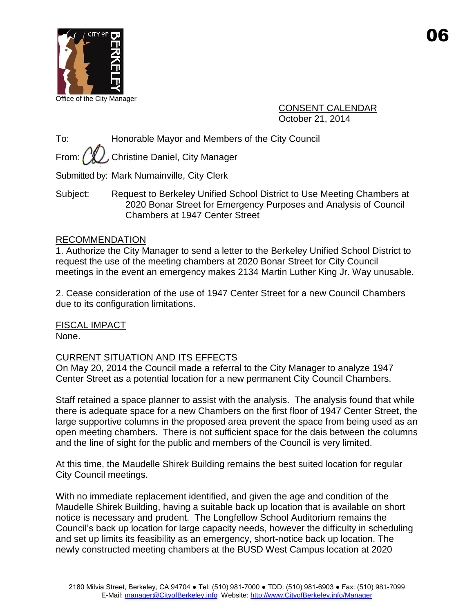

CONSENT CALENDAR October 21, 2014

To: Honorable Mayor and Members of the City Council

From:  $\binom{n}{k}$ , Christine Daniel, City Manager

Submitted by: Mark Numainville, City Clerk

Subject: Request to Berkeley Unified School District to Use Meeting Chambers at 2020 Bonar Street for Emergency Purposes and Analysis of Council Chambers at 1947 Center Street

## RECOMMENDATION

1. Authorize the City Manager to send a letter to the Berkeley Unified School District to request the use of the meeting chambers at 2020 Bonar Street for City Council meetings in the event an emergency makes 2134 Martin Luther King Jr. Way unusable.

2. Cease consideration of the use of 1947 Center Street for a new Council Chambers due to its configuration limitations.

FISCAL IMPACT None.

# CURRENT SITUATION AND ITS EFFECTS

On May 20, 2014 the Council made a referral to the City Manager to analyze 1947 Center Street as a potential location for a new permanent City Council Chambers.

Staff retained a space planner to assist with the analysis. The analysis found that while there is adequate space for a new Chambers on the first floor of 1947 Center Street, the large supportive columns in the proposed area prevent the space from being used as an open meeting chambers. There is not sufficient space for the dais between the columns and the line of sight for the public and members of the Council is very limited.

At this time, the Maudelle Shirek Building remains the best suited location for regular City Council meetings.

With no immediate replacement identified, and given the age and condition of the Maudelle Shirek Building, having a suitable back up location that is available on short notice is necessary and prudent. The Longfellow School Auditorium remains the Council's back up location for large capacity needs, however the difficulty in scheduling and set up limits its feasibility as an emergency, short-notice back up location. The newly constructed meeting chambers at the BUSD West Campus location at 2020